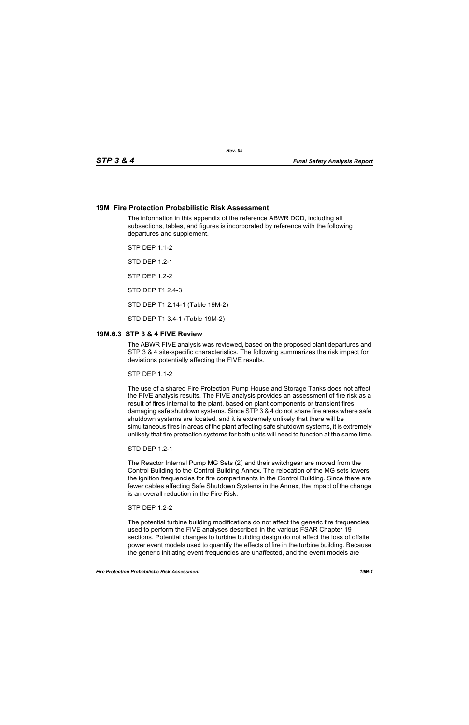### **19M Fire Protection Probabilistic Risk Assessment**

The information in this appendix of the reference ABWR DCD, including all subsections, tables, and figures is incorporated by reference with the following departures and supplement.

STP DEP 1.1-2

STD DEP 1.2-1

STP DEP 1.2-2

STD DEP T1 2.4-3

STD DEP T1 2.14-1 (Table 19M-2)

STD DEP T1 3.4-1 (Table 19M-2)

## **19M.6.3 STP 3 & 4 FIVE Review**

The ABWR FIVE analysis was reviewed, based on the proposed plant departures and STP 3 & 4 site-specific characteristics. The following summarizes the risk impact for deviations potentially affecting the FIVE results.

 $STP$  DFP 11-2

The use of a shared Fire Protection Pump House and Storage Tanks does not affect the FIVE analysis results. The FIVE analysis provides an assessment of fire risk as a result of fires internal to the plant, based on plant components or transient fires damaging safe shutdown systems. Since STP 3 & 4 do not share fire areas where safe shutdown systems are located, and it is extremely unlikely that there will be simultaneous fires in areas of the plant affecting safe shutdown systems, it is extremely unlikely that fire protection systems for both units will need to function at the same time.

STD DEP 1.2-1

The Reactor Internal Pump MG Sets (2) and their switchgear are moved from the Control Building to the Control Building Annex. The relocation of the MG sets lowers the ignition frequencies for fire compartments in the Control Building. Since there are fewer cables affecting Safe Shutdown Systems in the Annex, the impact of the change is an overall reduction in the Fire Risk.

#### $STP$  DFP 12-2

The potential turbine building modifications do not affect the generic fire frequencies used to perform the FIVE analyses described in the various FSAR Chapter 19 sections. Potential changes to turbine building design do not affect the loss of offsite power event models used to quantify the effects of fire in the turbine building. Because the generic initiating event frequencies are unaffected, and the event models are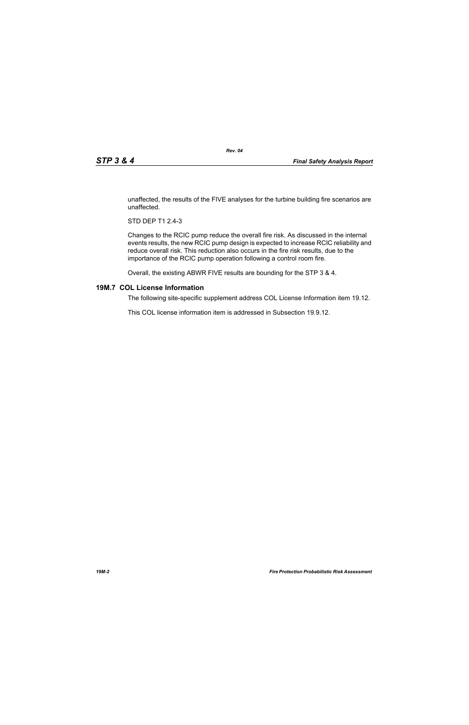unaffected, the results of the FIVE analyses for the turbine building fire scenarios are unaffected.

STD DEP T1 2.4-3

Changes to the RCIC pump reduce the overall fire risk. As discussed in the internal events results, the new RCIC pump design is expected to increase RCIC reliability and reduce overall risk. This reduction also occurs in the fire risk results, due to the importance of the RCIC pump operation following a control room fire.

Overall, the existing ABWR FIVE results are bounding for the STP 3 & 4.

# **19M.7 COL License Information**

The following site-specific supplement address COL License Information item 19.12.

This COL license information item is addressed in Subsection 19.9.12.